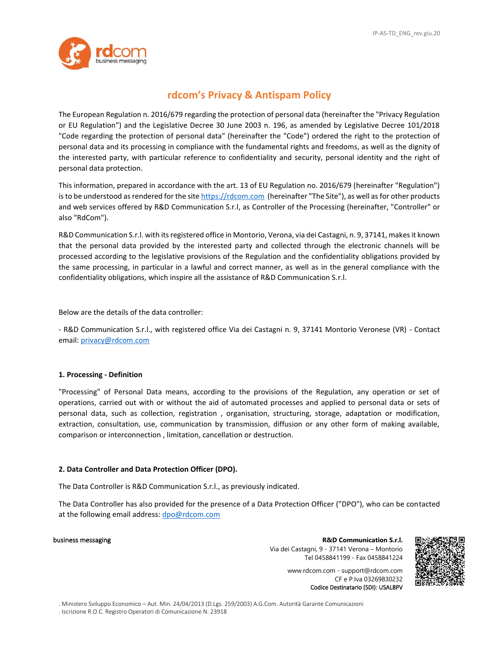

# **rdcom's Privacy & Antispam Policy**

The European Regulation n. 2016/679 regarding the protection of personal data (hereinafter the "Privacy Regulation or EU Regulation") and the Legislative Decree 30 June 2003 n. 196, as amended by Legislative Decree 101/2018 "Code regarding the protection of personal data" (hereinafter the "Code") ordered the right to the protection of personal data and its processing in compliance with the fundamental rights and freedoms, as well as the dignity of the interested party, with particular reference to confidentiality and security, personal identity and the right of personal data protection.

This information, prepared in accordance with the art. 13 of EU Regulation no. 2016/679 (hereinafter "Regulation") is to be understood as rendered for the site [https://rdcom.com](https://rdcom.com/) (hereinafter "The Site"), as well as for other products and web services offered by R&D Communication S.r.l, as Controller of the Processing (hereinafter, "Controller" or also "RdCom").

R&D Communication S.r.l. with its registered office in Montorio, Verona, via dei Castagni, n. 9, 37141, makes it known that the personal data provided by the interested party and collected through the electronic channels will be processed according to the legislative provisions of the Regulation and the confidentiality obligations provided by the same processing, in particular in a lawful and correct manner, as well as in the general compliance with the confidentiality obligations, which inspire all the assistance of R&D Communication S.r.l.

Below are the details of the data controller:

- R&D Communication S.r.l., with registered office Via dei Castagni n. 9, 37141 Montorio Veronese (VR) - Contact email[: privacy@rdcom.com](mailto:privacy@rdcom.com)

# **1. Processing - Definition**

"Processing" of Personal Data means, according to the provisions of the Regulation, any operation or set of operations, carried out with or without the aid of automated processes and applied to personal data or sets of personal data, such as collection, registration , organisation, structuring, storage, adaptation or modification, extraction, consultation, use, communication by transmission, diffusion or any other form of making available, comparison or interconnection , limitation, cancellation or destruction.

# **2. Data Controller and Data Protection Officer (DPO).**

The Data Controller is R&D Communication S.r.l., as previously indicated.

The Data Controller has also provided for the presence of a Data Protection Officer ("DPO"), who can be contacted at the following email address: [dpo@rdcom.com](mailto:dpo@rdcom.com)

business messaging **R&D Communication S.r.l.** Via dei Castagni, 9 - 37141 Verona – Montorio Tel 0458841199 - Fax 0458841224

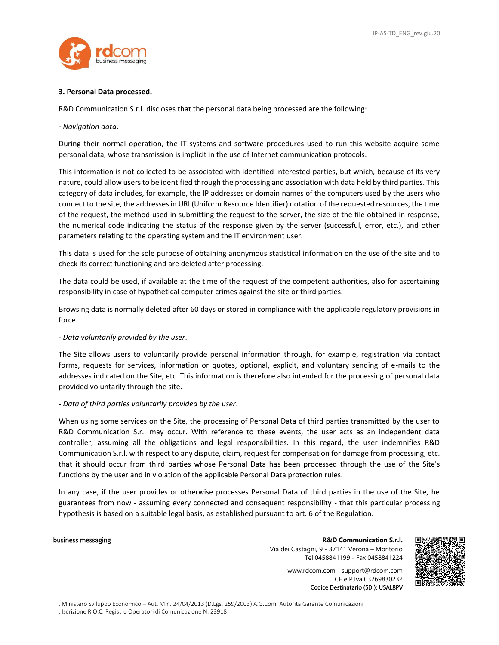

### **3. Personal Data processed.**

R&D Communication S.r.l. discloses that the personal data being processed are the following:

### - *Navigation data*.

During their normal operation, the IT systems and software procedures used to run this website acquire some personal data, whose transmission is implicit in the use of Internet communication protocols.

This information is not collected to be associated with identified interested parties, but which, because of its very nature, could allow users to be identified through the processing and association with data held by third parties. This category of data includes, for example, the IP addresses or domain names of the computers used by the users who connect to the site, the addresses in URI (Uniform Resource Identifier) notation of the requested resources, the time of the request, the method used in submitting the request to the server, the size of the file obtained in response, the numerical code indicating the status of the response given by the server (successful, error, etc.), and other parameters relating to the operating system and the IT environment user.

This data is used for the sole purpose of obtaining anonymous statistical information on the use of the site and to check its correct functioning and are deleted after processing.

The data could be used, if available at the time of the request of the competent authorities, also for ascertaining responsibility in case of hypothetical computer crimes against the site or third parties.

Browsing data is normally deleted after 60 days or stored in compliance with the applicable regulatory provisions in force.

### - *Data voluntarily provided by the user*.

The Site allows users to voluntarily provide personal information through, for example, registration via contact forms, requests for services, information or quotes, optional, explicit, and voluntary sending of e-mails to the addresses indicated on the Site, etc. This information is therefore also intended for the processing of personal data provided voluntarily through the site.

### - *Data of third parties voluntarily provided by the user*.

When using some services on the Site, the processing of Personal Data of third parties transmitted by the user to R&D Communication S.r.l may occur. With reference to these events, the user acts as an independent data controller, assuming all the obligations and legal responsibilities. In this regard, the user indemnifies R&D Communication S.r.l. with respect to any dispute, claim, request for compensation for damage from processing, etc. that it should occur from third parties whose Personal Data has been processed through the use of the Site's functions by the user and in violation of the applicable Personal Data protection rules.

In any case, if the user provides or otherwise processes Personal Data of third parties in the use of the Site, he guarantees from now - assuming every connected and consequent responsibility - that this particular processing hypothesis is based on a suitable legal basis, as established pursuant to art. 6 of the Regulation.

business messaging **R&D Communication S.r.l.** Via dei Castagni, 9 - 37141 Verona – Montorio Tel 0458841199 - Fax 0458841224

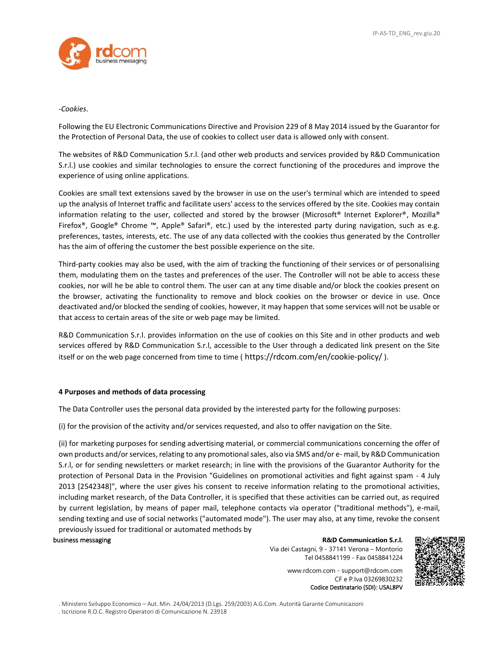

### -*Cookies*.

Following the EU Electronic Communications Directive and Provision 229 of 8 May 2014 issued by the Guarantor for the Protection of Personal Data, the use of cookies to collect user data is allowed only with consent.

The websites of R&D Communication S.r.l. (and other web products and services provided by R&D Communication S.r.l.) use cookies and similar technologies to ensure the correct functioning of the procedures and improve the experience of using online applications.

Cookies are small text extensions saved by the browser in use on the user's terminal which are intended to speed up the analysis of Internet traffic and facilitate users' access to the services offered by the site. Cookies may contain information relating to the user, collected and stored by the browser (Microsoft® Internet Explorer®, Mozilla® Firefox®, Google® Chrome ™, Apple® Safari®, etc.) used by the interested party during navigation, such as e.g. preferences, tastes, interests, etc. The use of any data collected with the cookies thus generated by the Controller has the aim of offering the customer the best possible experience on the site.

Third-party cookies may also be used, with the aim of tracking the functioning of their services or of personalising them, modulating them on the tastes and preferences of the user. The Controller will not be able to access these cookies, nor will he be able to control them. The user can at any time disable and/or block the cookies present on the browser, activating the functionality to remove and block cookies on the browser or device in use. Once deactivated and/or blocked the sending of cookies, however, it may happen that some services will not be usable or that access to certain areas of the site or web page may be limited.

R&D Communication S.r.l. provides information on the use of cookies on this Site and in other products and web services offered by R&D Communication S.r.l, accessible to the User through a dedicated link present on the Site itself or on the web page concerned from time to time ( https://rdcom.com/en/cookie-policy/ ).

# **4 Purposes and methods of data processing**

The Data Controller uses the personal data provided by the interested party for the following purposes:

(i) for the provision of the activity and/or services requested, and also to offer navigation on the Site.

(ii) for marketing purposes for sending advertising material, or commercial communications concerning the offer of own products and/or services, relating to any promotional sales, also via SMS and/or e- mail, by R&D Communication S.r.l, or for sending newsletters or market research; in line with the provisions of the Guarantor Authority for the protection of Personal Data in the Provision "Guidelines on promotional activities and fight against spam - 4 July 2013 [2542348]", where the user gives his consent to receive information relating to the promotional activities, including market research, of the Data Controller, it is specified that these activities can be carried out, as required by current legislation, by means of paper mail, telephone contacts via operator ("traditional methods"), e-mail, sending texting and use of social networks ("automated mode"). The user may also, at any time, revoke the consent previously issued for traditional or automated methods by

business messaging **R&D Communication S.r.l.**

Via dei Castagni, 9 - 37141 Verona – Montorio Tel 0458841199 - Fax 0458841224

www.rdcom.com - support@rdcom.com CF e P.Iva 03269830232 Codice Destinatario (SDI): USAL8PV

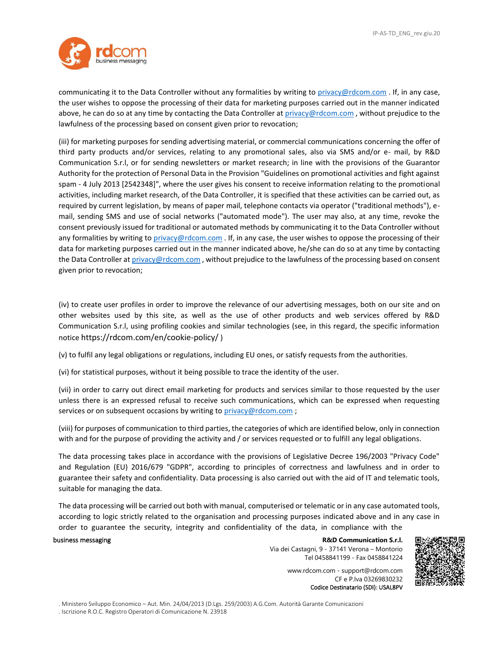

communicating it to the Data Controller without any formalities by writing to [privacy@rdcom.com](mailto:privacy@rdcom.com) . If, in any case, the user wishes to oppose the processing of their data for marketing purposes carried out in the manner indicated above, he can do so at any time by contacting the Data Controller at [privacy@rdcom.com](mailto:privacy@rdcom.com), without prejudice to the lawfulness of the processing based on consent given prior to revocation;

(iii) for marketing purposes for sending advertising material, or commercial communications concerning the offer of third party products and/or services, relating to any promotional sales, also via SMS and/or e- mail, by R&D Communication S.r.l, or for sending newsletters or market research; in line with the provisions of the Guarantor Authority for the protection of Personal Data in the Provision "Guidelines on promotional activities and fight against spam - 4 July 2013 [2542348]", where the user gives his consent to receive information relating to the promotional activities, including market research, of the Data Controller, it is specified that these activities can be carried out, as required by current legislation, by means of paper mail, telephone contacts via operator ("traditional methods"), email, sending SMS and use of social networks ("automated mode"). The user may also, at any time, revoke the consent previously issued for traditional or automated methods by communicating it to the Data Controller without any formalities by writing t[o privacy@rdcom.com](mailto:privacy@rdcom.com) . If, in any case, the user wishes to oppose the processing of their data for marketing purposes carried out in the manner indicated above, he/she can do so at any time by contacting the Data Controller at [privacy@rdcom.com](mailto:privacy@rdcom.com), without prejudice to the lawfulness of the processing based on consent given prior to revocation;

(iv) to create user profiles in order to improve the relevance of our advertising messages, both on our site and on other websites used by this site, as well as the use of other products and web services offered by R&D Communication S.r.l, using profiling cookies and similar technologies (see, in this regard, the specific information notice https://rdcom.com/en/cookie-policy/ )

(v) to fulfil any legal obligations or regulations, including EU ones, or satisfy requests from the authorities.

(vi) for statistical purposes, without it being possible to trace the identity of the user.

(vii) in order to carry out direct email marketing for products and services similar to those requested by the user unless there is an expressed refusal to receive such communications, which can be expressed when requesting services or on subsequent occasions by writing to [privacy@rdcom.com](mailto:privacy@rdcom.com);

(viii) for purposes of communication to third parties, the categories of which are identified below, only in connection with and for the purpose of providing the activity and / or services requested or to fulfill any legal obligations.

The data processing takes place in accordance with the provisions of Legislative Decree 196/2003 "Privacy Code" and Regulation (EU) 2016/679 "GDPR", according to principles of correctness and lawfulness and in order to guarantee their safety and confidentiality. Data processing is also carried out with the aid of IT and telematic tools, suitable for managing the data.

The data processing will be carried out both with manual, computerised or telematic or in any case automated tools, according to logic strictly related to the organisation and processing purposes indicated above and in any case in order to guarantee the security, integrity and confidentiality of the data, in compliance with the

### business messaging **R&D Communication S.r.l.**

Via dei Castagni, 9 - 37141 Verona – Montorio Tel 0458841199 - Fax 0458841224

> www.rdcom.com - support@rdcom.com CF e P.Iva 03269830232 Codice Destinatario (SDI): USAL8PV

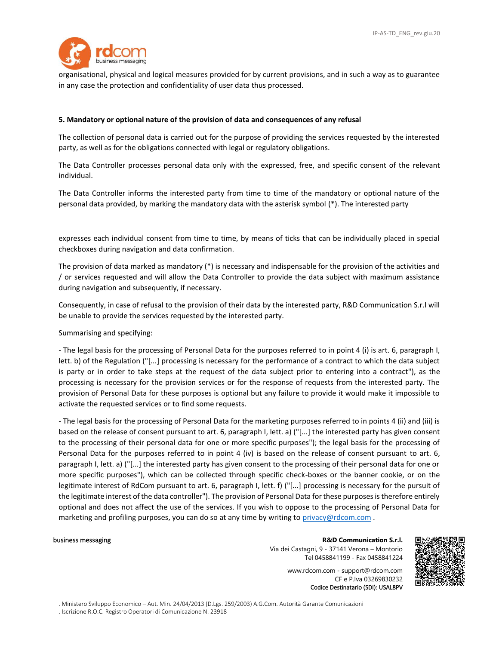

organisational, physical and logical measures provided for by current provisions, and in such a way as to guarantee in any case the protection and confidentiality of user data thus processed.

### **5. Mandatory or optional nature of the provision of data and consequences of any refusal**

The collection of personal data is carried out for the purpose of providing the services requested by the interested party, as well as for the obligations connected with legal or regulatory obligations.

The Data Controller processes personal data only with the expressed, free, and specific consent of the relevant individual.

The Data Controller informs the interested party from time to time of the mandatory or optional nature of the personal data provided, by marking the mandatory data with the asterisk symbol (\*). The interested party

expresses each individual consent from time to time, by means of ticks that can be individually placed in special checkboxes during navigation and data confirmation.

The provision of data marked as mandatory (\*) is necessary and indispensable for the provision of the activities and / or services requested and will allow the Data Controller to provide the data subject with maximum assistance during navigation and subsequently, if necessary.

Consequently, in case of refusal to the provision of their data by the interested party, R&D Communication S.r.l will be unable to provide the services requested by the interested party.

Summarising and specifying:

- The legal basis for the processing of Personal Data for the purposes referred to in point 4 (i) is art. 6, paragraph I, lett. b) of the Regulation ("[...] processing is necessary for the performance of a contract to which the data subject is party or in order to take steps at the request of the data subject prior to entering into a contract"), as the processing is necessary for the provision services or for the response of requests from the interested party. The provision of Personal Data for these purposes is optional but any failure to provide it would make it impossible to activate the requested services or to find some requests.

- The legal basis for the processing of Personal Data for the marketing purposes referred to in points 4 (ii) and (iii) is based on the release of consent pursuant to art. 6, paragraph I, lett. a) ("[...] the interested party has given consent to the processing of their personal data for one or more specific purposes"); the legal basis for the processing of Personal Data for the purposes referred to in point 4 (iv) is based on the release of consent pursuant to art. 6, paragraph I, lett. a) ("[...] the interested party has given consent to the processing of their personal data for one or more specific purposes"), which can be collected through specific check-boxes or the banner cookie, or on the legitimate interest of RdCom pursuant to art. 6, paragraph I, lett. f) ("[...] processing is necessary for the pursuit of the legitimate interest of the data controller"). The provision of Personal Data for these purposes is therefore entirely optional and does not affect the use of the services. If you wish to oppose to the processing of Personal Data for marketing and profiling purposes, you can do so at any time by writing to [privacy@rdcom.com](mailto:privacy@rdcom.com).

business messaging **R&D Communication S.r.l.** Via dei Castagni, 9 - 37141 Verona – Montorio Tel 0458841199 - Fax 0458841224

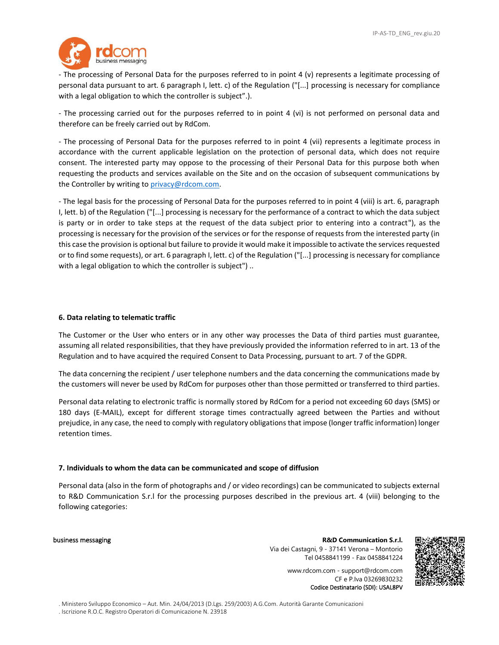

- The processing of Personal Data for the purposes referred to in point 4 (v) represents a legitimate processing of personal data pursuant to art. 6 paragraph I, lett. c) of the Regulation ("[...] processing is necessary for compliance with a legal obligation to which the controller is subject".).

- The processing carried out for the purposes referred to in point 4 (vi) is not performed on personal data and therefore can be freely carried out by RdCom.

- The processing of Personal Data for the purposes referred to in point 4 (vii) represents a legitimate process in accordance with the current applicable legislation on the protection of personal data, which does not require consent. The interested party may oppose to the processing of their Personal Data for this purpose both when requesting the products and services available on the Site and on the occasion of subsequent communications by the Controller by writing to [privacy@rdcom.com.](mailto:privacy@rdcom.com)

- The legal basis for the processing of Personal Data for the purposes referred to in point 4 (viii) is art. 6, paragraph I, lett. b) of the Regulation ("[...] processing is necessary for the performance of a contract to which the data subject is party or in order to take steps at the request of the data subject prior to entering into a contract"), as the processing is necessary for the provision of the services or for the response of requests from the interested party (in this case the provision is optional but failure to provide it would make it impossible to activate the services requested or to find some requests), or art. 6 paragraph I, lett. c) of the Regulation ("[...] processing is necessary for compliance with a legal obligation to which the controller is subject")..

### **6. Data relating to telematic traffic**

The Customer or the User who enters or in any other way processes the Data of third parties must guarantee, assuming all related responsibilities, that they have previously provided the information referred to in art. 13 of the Regulation and to have acquired the required Consent to Data Processing, pursuant to art. 7 of the GDPR.

The data concerning the recipient / user telephone numbers and the data concerning the communications made by the customers will never be used by RdCom for purposes other than those permitted or transferred to third parties.

Personal data relating to electronic traffic is normally stored by RdCom for a period not exceeding 60 days (SMS) or 180 days (E-MAIL), except for different storage times contractually agreed between the Parties and without prejudice, in any case, the need to comply with regulatory obligations that impose (longer traffic information) longer retention times.

### **7. Individuals to whom the data can be communicated and scope of diffusion**

Personal data (also in the form of photographs and / or video recordings) can be communicated to subjects external to R&D Communication S.r.l for the processing purposes described in the previous art. 4 (viii) belonging to the following categories:

business messaging **R&D Communication S.r.l.** Via dei Castagni, 9 - 37141 Verona – Montorio Tel 0458841199 - Fax 0458841224

> www.rdcom.com - support@rdcom.com CF e P.Iva 03269830232 Codice Destinatario (SDI): USAL8PV

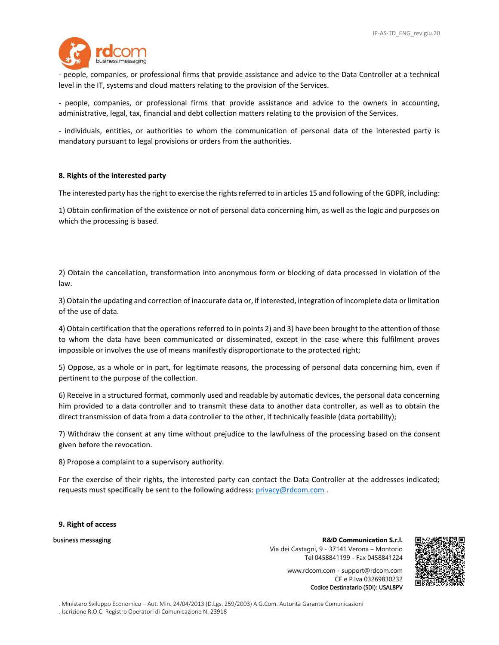

- people, companies, or professional firms that provide assistance and advice to the Data Controller at a technical level in the IT, systems and cloud matters relating to the provision of the Services.

- people, companies, or professional firms that provide assistance and advice to the owners in accounting, administrative, legal, tax, financial and debt collection matters relating to the provision of the Services.

- individuals, entities, or authorities to whom the communication of personal data of the interested party is mandatory pursuant to legal provisions or orders from the authorities.

### **8. Rights of the interested party**

The interested party has the right to exercise the rights referred to in articles 15 and following of the GDPR, including:

1) Obtain confirmation of the existence or not of personal data concerning him, as well as the logic and purposes on which the processing is based.

2) Obtain the cancellation, transformation into anonymous form or blocking of data processed in violation of the law.

3) Obtain the updating and correction of inaccurate data or, if interested, integration of incomplete data or limitation of the use of data.

4) Obtain certification that the operations referred to in points 2) and 3) have been brought to the attention of those to whom the data have been communicated or disseminated, except in the case where this fulfilment proves impossible or involves the use of means manifestly disproportionate to the protected right;

5) Oppose, as a whole or in part, for legitimate reasons, the processing of personal data concerning him, even if pertinent to the purpose of the collection.

6) Receive in a structured format, commonly used and readable by automatic devices, the personal data concerning him provided to a data controller and to transmit these data to another data controller, as well as to obtain the direct transmission of data from a data controller to the other, if technically feasible (data portability);

7) Withdraw the consent at any time without prejudice to the lawfulness of the processing based on the consent given before the revocation.

8) Propose a complaint to a supervisory authority.

For the exercise of their rights, the interested party can contact the Data Controller at the addresses indicated; requests must specifically be sent to the following address: [privacy@rdcom.com](mailto:privacy@rdcom.com) .

**9. Right of access**

business messaging **R&D Communication S.r.l.** Via dei Castagni, 9 - 37141 Verona – Montorio Tel 0458841199 - Fax 0458841224

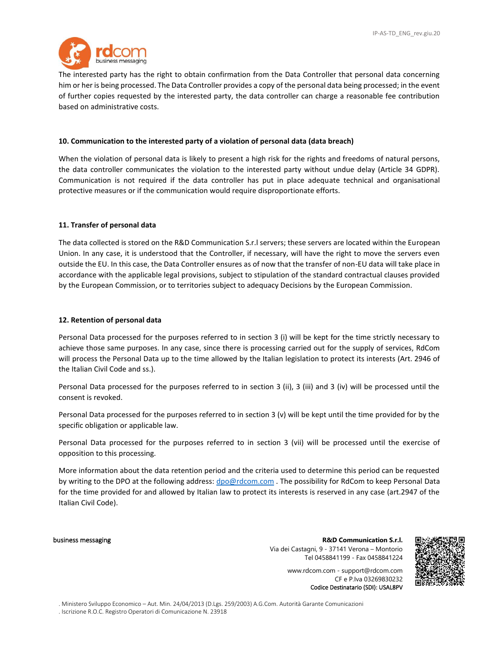

The interested party has the right to obtain confirmation from the Data Controller that personal data concerning him or her is being processed. The Data Controller provides a copy of the personal data being processed; in the event of further copies requested by the interested party, the data controller can charge a reasonable fee contribution based on administrative costs.

### **10. Communication to the interested party of a violation of personal data (data breach)**

When the violation of personal data is likely to present a high risk for the rights and freedoms of natural persons, the data controller communicates the violation to the interested party without undue delay (Article 34 GDPR). Communication is not required if the data controller has put in place adequate technical and organisational protective measures or if the communication would require disproportionate efforts.

### **11. Transfer of personal data**

The data collected is stored on the R&D Communication S.r.l servers; these servers are located within the European Union. In any case, it is understood that the Controller, if necessary, will have the right to move the servers even outside the EU. In this case, the Data Controller ensures as of now that the transfer of non-EU data will take place in accordance with the applicable legal provisions, subject to stipulation of the standard contractual clauses provided by the European Commission, or to territories subject to adequacy Decisions by the European Commission.

### **12. Retention of personal data**

Personal Data processed for the purposes referred to in section 3 (i) will be kept for the time strictly necessary to achieve those same purposes. In any case, since there is processing carried out for the supply of services, RdCom will process the Personal Data up to the time allowed by the Italian legislation to protect its interests (Art. 2946 of the Italian Civil Code and ss.).

Personal Data processed for the purposes referred to in section 3 (ii), 3 (iii) and 3 (iv) will be processed until the consent is revoked.

Personal Data processed for the purposes referred to in section 3 (v) will be kept until the time provided for by the specific obligation or applicable law.

Personal Data processed for the purposes referred to in section 3 (vii) will be processed until the exercise of opposition to this processing.

More information about the data retention period and the criteria used to determine this period can be requested by writing to the DPO at the following address: [dpo@rdcom.com](mailto:dpo@rdcom.com). The possibility for RdCom to keep Personal Data for the time provided for and allowed by Italian law to protect its interests is reserved in any case (art.2947 of the Italian Civil Code).

business messaging **R&D Communication S.r.l.** Via dei Castagni, 9 - 37141 Verona – Montorio Tel 0458841199 - Fax 0458841224

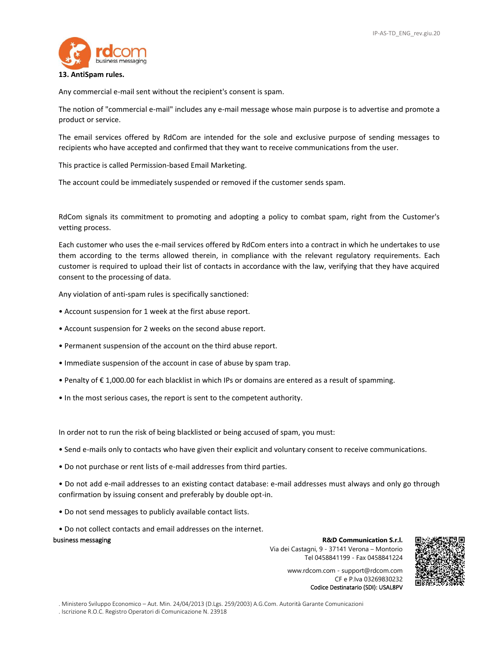

### **13. AntiSpam rules.**

Any commercial e-mail sent without the recipient's consent is spam.

The notion of "commercial e-mail" includes any e-mail message whose main purpose is to advertise and promote a product or service.

The email services offered by RdCom are intended for the sole and exclusive purpose of sending messages to recipients who have accepted and confirmed that they want to receive communications from the user.

This practice is called Permission-based Email Marketing.

The account could be immediately suspended or removed if the customer sends spam.

RdCom signals its commitment to promoting and adopting a policy to combat spam, right from the Customer's vetting process.

Each customer who uses the e-mail services offered by RdCom enters into a contract in which he undertakes to use them according to the terms allowed therein, in compliance with the relevant regulatory requirements. Each customer is required to upload their list of contacts in accordance with the law, verifying that they have acquired consent to the processing of data.

Any violation of anti-spam rules is specifically sanctioned:

- Account suspension for 1 week at the first abuse report.
- Account suspension for 2 weeks on the second abuse report.
- Permanent suspension of the account on the third abuse report.
- Immediate suspension of the account in case of abuse by spam trap.
- Penalty of € 1,000.00 for each blacklist in which IPs or domains are entered as a result of spamming.
- In the most serious cases, the report is sent to the competent authority.

In order not to run the risk of being blacklisted or being accused of spam, you must:

- Send e-mails only to contacts who have given their explicit and voluntary consent to receive communications.
- Do not purchase or rent lists of e-mail addresses from third parties.

• Do not add e-mail addresses to an existing contact database: e-mail addresses must always and only go through confirmation by issuing consent and preferably by double opt-in.

- Do not send messages to publicly available contact lists.
- Do not collect contacts and email addresses on the internet.

### business messaging **R&D Communication S.r.l.**

Via dei Castagni, 9 - 37141 Verona – Montorio Tel 0458841199 - Fax 0458841224

> www.rdcom.com - support@rdcom.com CF e P.Iva 03269830232 Codice Destinatario (SDI): USAL8PV